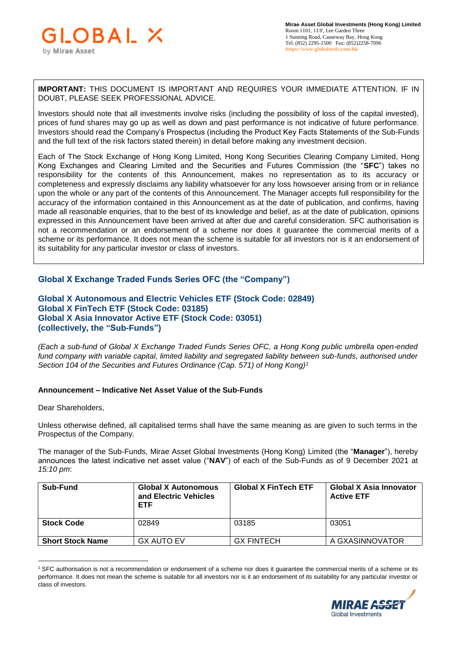**IMPORTANT:** THIS DOCUMENT IS IMPORTANT AND REQUIRES YOUR IMMEDIATE ATTENTION. IF IN DOUBT, PLEASE SEEK PROFESSIONAL ADVICE.

Investors should note that all investments involve risks (including the possibility of loss of the capital invested), prices of fund shares may go up as well as down and past performance is not indicative of future performance. Investors should read the Company's Prospectus (including the Product Key Facts Statements of the Sub-Funds and the full text of the risk factors stated therein) in detail before making any investment decision.

Each of The Stock Exchange of Hong Kong Limited, Hong Kong Securities Clearing Company Limited, Hong Kong Exchanges and Clearing Limited and the Securities and Futures Commission (the "**SFC**") takes no responsibility for the contents of this Announcement, makes no representation as to its accuracy or completeness and expressly disclaims any liability whatsoever for any loss howsoever arising from or in reliance upon the whole or any part of the contents of this Announcement. The Manager accepts full responsibility for the accuracy of the information contained in this Announcement as at the date of publication, and confirms, having made all reasonable enquiries, that to the best of its knowledge and belief, as at the date of publication, opinions expressed in this Announcement have been arrived at after due and careful consideration. SFC authorisation is not a recommendation or an endorsement of a scheme nor does it guarantee the commercial merits of a scheme or its performance. It does not mean the scheme is suitable for all investors nor is it an endorsement of its suitability for any particular investor or class of investors.

## **Global X Exchange Traded Funds Series OFC (the "Company")**

**Global X Autonomous and Electric Vehicles ETF (Stock Code: 02849) Global X FinTech ETF (Stock Code: 03185) Global X Asia Innovator Active ETF (Stock Code: 03051) (collectively, the "Sub-Funds")**

*(Each a sub-fund of Global X Exchange Traded Funds Series OFC, a Hong Kong public umbrella open-ended*  fund company with variable capital, limited liability and segregated liability between sub-funds, authorised under *Section 104 of the Securities and Futures Ordinance (Cap. 571) of Hong Kong)<sup>1</sup>*

## **Announcement – Indicative Net Asset Value of the Sub-Funds**

## Dear Shareholders,

 $\overline{a}$ 

Unless otherwise defined, all capitalised terms shall have the same meaning as are given to such terms in the Prospectus of the Company.

The manager of the Sub-Funds, Mirae Asset Global Investments (Hong Kong) Limited (the "**Manager**"), hereby announces the latest indicative net asset value ("**NAV**") of each of the Sub-Funds as of 9 December 2021 at *15:10 pm*:

| Sub-Fund                | <b>Global X Autonomous</b><br>and Electric Vehicles<br><b>ETF</b> | <b>Global X FinTech ETF</b> | Global X Asia Innovator<br><b>Active ETF</b> |
|-------------------------|-------------------------------------------------------------------|-----------------------------|----------------------------------------------|
| <b>Stock Code</b>       | 02849                                                             | 03185                       | 03051                                        |
| <b>Short Stock Name</b> | GX AUTO EV                                                        | <b>GX FINTECH</b>           | A GXASINNOVATOR                              |

<sup>1</sup> SFC authorisation is not a recommendation or endorsement of a scheme nor does it guarantee the commercial merits of a scheme or its performance. It does not mean the scheme is suitable for all investors nor is it an endorsement of its suitability for any particular investor or class of investors.